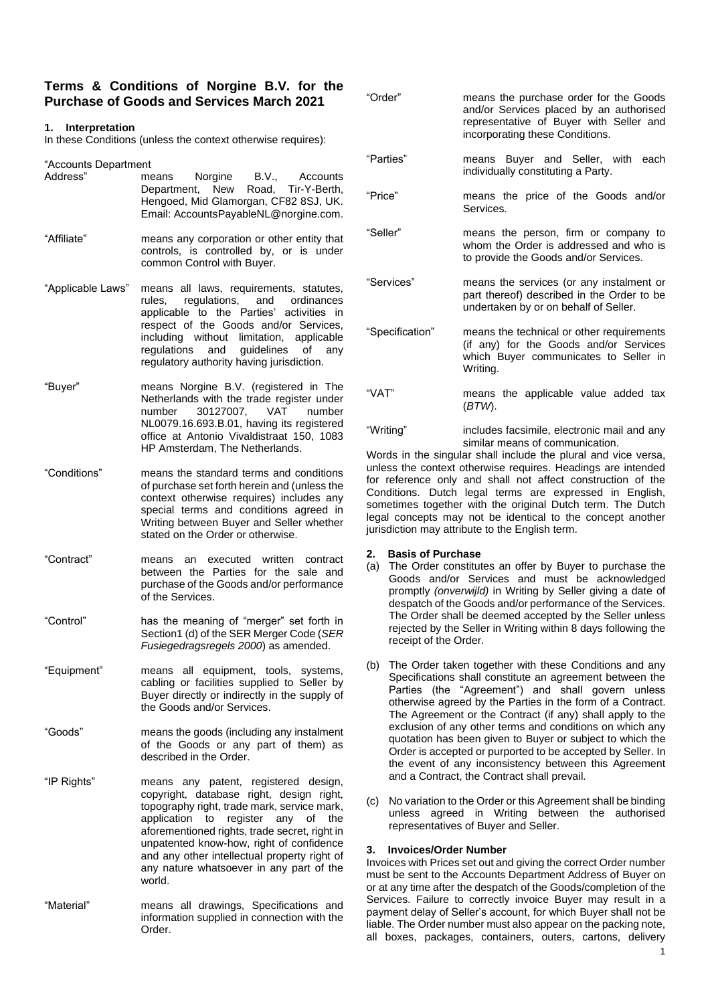# **Terms & Conditions of Norgine B.V. for the Purchase of Goods and Services March 2021**

### **1. Interpretation**

In these Conditions (unless the context otherwise requires):

"Accounts Department

| Address"          | means Norgine B.V., Accounts<br>Department, New Road, Tir-Y-Berth,<br>Hengoed, Mid Glamorgan, CF82 8SJ, UK.<br>Email: AccountsPayableNL@norgine.com.                                                                                                                                             |
|-------------------|--------------------------------------------------------------------------------------------------------------------------------------------------------------------------------------------------------------------------------------------------------------------------------------------------|
| "Affiliate"       | means any corporation or other entity that<br>controls, is controlled by, or is under<br>common Control with Buyer.                                                                                                                                                                              |
| "Applicable Laws" | means all laws, requirements, statutes,<br>rules, regulations, and ordinances<br>applicable to the Parties' activities in<br>respect of the Goods and/or Services,<br>including without limitation, applicable<br>regulations and guidelines of any<br>regulatory authority having jurisdiction. |

- "Buyer" means Norgine B.V. (registered in The Netherlands with the trade register under number 30127007, VAT number NL0079.16.693.B.01, having its registered office at Antonio Vivaldistraat 150, 1083 HP Amsterdam, The Netherlands.
- "Conditions" means the standard terms and conditions of purchase set forth herein and (unless the context otherwise requires) includes any special terms and conditions agreed in Writing between Buyer and Seller whether stated on the Order or otherwise.
- "Contract" means an executed written contract between the Parties for the sale and purchase of the Goods and/or performance of the Services.
- "Control" has the meaning of "merger" set forth in Section1 (d) of the SER Merger Code (*SER Fusiegedragsregels 2000*) as amended.
- "Equipment" means all equipment, tools, systems, cabling or facilities supplied to Seller by Buyer directly or indirectly in the supply of the Goods and/or Services.
- "Goods" means the goods (including any instalment of the Goods or any part of them) as described in the Order.
- "IP Rights" means any patent, registered design, copyright, database right, design right, topography right, trade mark, service mark, application to register any of the aforementioned rights, trade secret, right in unpatented know-how, right of confidence and any other intellectual property right of any nature whatsoever in any part of the world.
- "Material" means all drawings, Specifications and information supplied in connection with the Order.

| "Order"         | means the purchase order for the Goods<br>and/or Services placed by an authorised<br>representative of Buyer with Seller and<br>incorporating these Conditions. |
|-----------------|-----------------------------------------------------------------------------------------------------------------------------------------------------------------|
| "Parties"       | means Buyer and Seller, with each<br>individually constituting a Party.                                                                                         |
| "Price"         | means the price of the Goods and/or<br>Services.                                                                                                                |
| "Seller"        | means the person, firm or company to<br>whom the Order is addressed and who is<br>to provide the Goods and/or Services.                                         |
| "Services"      | means the services (or any instalment or<br>part thereof) described in the Order to be<br>undertaken by or on behalf of Seller.                                 |
| "Specification" | means the technical or other requirements<br>(if any) for the Goods and/or Services<br>which Buyer communicates to Seller in<br>Writing.                        |
| "VAT"           | means the applicable value added tax<br>(BTW).                                                                                                                  |

"Writing" includes facsimile, electronic mail and any similar means of communication.

Words in the singular shall include the plural and vice versa, unless the context otherwise requires. Headings are intended for reference only and shall not affect construction of the Conditions. Dutch legal terms are expressed in English, sometimes together with the original Dutch term. The Dutch legal concepts may not be identical to the concept another jurisdiction may attribute to the English term.

# **2. Basis of Purchase**

- (a) The Order constitutes an offer by Buyer to purchase the Goods and/or Services and must be acknowledged promptly *(onverwijld)* in Writing by Seller giving a date of despatch of the Goods and/or performance of the Services. The Order shall be deemed accepted by the Seller unless rejected by the Seller in Writing within 8 days following the receipt of the Order.
- (b) The Order taken together with these Conditions and any Specifications shall constitute an agreement between the Parties (the "Agreement") and shall govern unless otherwise agreed by the Parties in the form of a Contract. The Agreement or the Contract (if any) shall apply to the exclusion of any other terms and conditions on which any quotation has been given to Buyer or subject to which the Order is accepted or purported to be accepted by Seller. In the event of any inconsistency between this Agreement and a Contract, the Contract shall prevail.
- (c) No variation to the Order or this Agreement shall be binding unless agreed in Writing between the authorised representatives of Buyer and Seller.

#### **3. Invoices/Order Number**

Invoices with Prices set out and giving the correct Order number must be sent to the Accounts Department Address of Buyer on or at any time after the despatch of the Goods/completion of the Services. Failure to correctly invoice Buyer may result in a payment delay of Seller's account, for which Buyer shall not be liable. The Order number must also appear on the packing note, all boxes, packages, containers, outers, cartons, delivery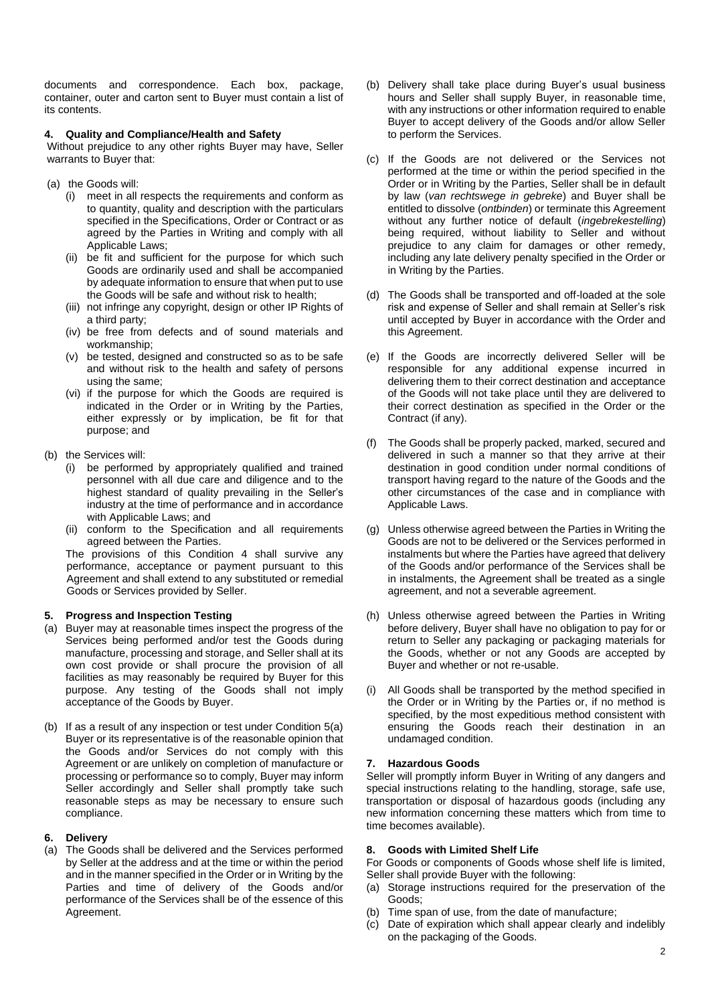documents and correspondence. Each box, package, container, outer and carton sent to Buyer must contain a list of its contents.

### **4. Quality and Compliance/Health and Safety**

Without prejudice to any other rights Buyer may have, Seller warrants to Buyer that:

- (a) the Goods will:
	- (i) meet in all respects the requirements and conform as to quantity, quality and description with the particulars specified in the Specifications, Order or Contract or as agreed by the Parties in Writing and comply with all Applicable Laws;
	- (ii) be fit and sufficient for the purpose for which such Goods are ordinarily used and shall be accompanied by adequate information to ensure that when put to use the Goods will be safe and without risk to health;
	- (iii) not infringe any copyright, design or other IP Rights of a third party;
	- (iv) be free from defects and of sound materials and workmanship;
	- (v) be tested, designed and constructed so as to be safe and without risk to the health and safety of persons using the same;
	- (vi) if the purpose for which the Goods are required is indicated in the Order or in Writing by the Parties, either expressly or by implication, be fit for that purpose; and
- (b) the Services will:
	- (i) be performed by appropriately qualified and trained personnel with all due care and diligence and to the highest standard of quality prevailing in the Seller's industry at the time of performance and in accordance with Applicable Laws; and
	- (ii) conform to the Specification and all requirements agreed between the Parties.

The provisions of this Condition 4 shall survive any performance, acceptance or payment pursuant to this Agreement and shall extend to any substituted or remedial Goods or Services provided by Seller.

# **5. Progress and Inspection Testing**

- (a) Buyer may at reasonable times inspect the progress of the Services being performed and/or test the Goods during manufacture, processing and storage, and Seller shall at its own cost provide or shall procure the provision of all facilities as may reasonably be required by Buyer for this purpose. Any testing of the Goods shall not imply acceptance of the Goods by Buyer.
- (b) If as a result of any inspection or test under Condition 5(a) Buyer or its representative is of the reasonable opinion that the Goods and/or Services do not comply with this Agreement or are unlikely on completion of manufacture or processing or performance so to comply, Buyer may inform Seller accordingly and Seller shall promptly take such reasonable steps as may be necessary to ensure such compliance.

# **6. Delivery**

(a) The Goods shall be delivered and the Services performed by Seller at the address and at the time or within the period and in the manner specified in the Order or in Writing by the Parties and time of delivery of the Goods and/or performance of the Services shall be of the essence of this Agreement.

- (b) Delivery shall take place during Buyer's usual business hours and Seller shall supply Buyer, in reasonable time, with any instructions or other information required to enable Buyer to accept delivery of the Goods and/or allow Seller to perform the Services.
- (c) If the Goods are not delivered or the Services not performed at the time or within the period specified in the Order or in Writing by the Parties, Seller shall be in default by law (*van rechtswege in gebreke*) and Buyer shall be entitled to dissolve (*ontbinden*) or terminate this Agreement without any further notice of default (*ingebrekestelling*) being required, without liability to Seller and without prejudice to any claim for damages or other remedy, including any late delivery penalty specified in the Order or in Writing by the Parties.
- (d) The Goods shall be transported and off-loaded at the sole risk and expense of Seller and shall remain at Seller's risk until accepted by Buyer in accordance with the Order and this Agreement.
- (e) If the Goods are incorrectly delivered Seller will be responsible for any additional expense incurred in delivering them to their correct destination and acceptance of the Goods will not take place until they are delivered to their correct destination as specified in the Order or the Contract (if any).
- (f) The Goods shall be properly packed, marked, secured and delivered in such a manner so that they arrive at their destination in good condition under normal conditions of transport having regard to the nature of the Goods and the other circumstances of the case and in compliance with Applicable Laws.
- (g) Unless otherwise agreed between the Parties in Writing the Goods are not to be delivered or the Services performed in instalments but where the Parties have agreed that delivery of the Goods and/or performance of the Services shall be in instalments, the Agreement shall be treated as a single agreement, and not a severable agreement.
- (h) Unless otherwise agreed between the Parties in Writing before delivery, Buyer shall have no obligation to pay for or return to Seller any packaging or packaging materials for the Goods, whether or not any Goods are accepted by Buyer and whether or not re-usable.
- (i) All Goods shall be transported by the method specified in the Order or in Writing by the Parties or, if no method is specified, by the most expeditious method consistent with ensuring the Goods reach their destination in an undamaged condition.

# **7. Hazardous Goods**

Seller will promptly inform Buyer in Writing of any dangers and special instructions relating to the handling, storage, safe use, transportation or disposal of hazardous goods (including any new information concerning these matters which from time to time becomes available).

# **8. Goods with Limited Shelf Life**

For Goods or components of Goods whose shelf life is limited, Seller shall provide Buyer with the following:

- (a) Storage instructions required for the preservation of the Goods;
- (b) Time span of use, from the date of manufacture;
- (c) Date of expiration which shall appear clearly and indelibly on the packaging of the Goods.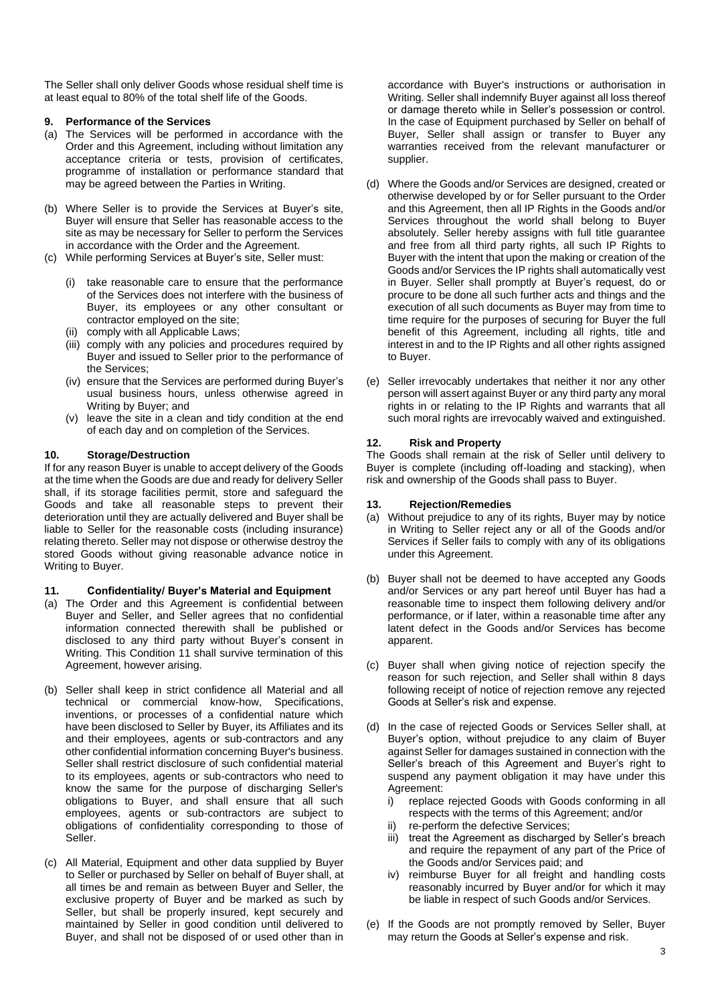The Seller shall only deliver Goods whose residual shelf time is at least equal to 80% of the total shelf life of the Goods.

### **9. Performance of the Services**

- (a) The Services will be performed in accordance with the Order and this Agreement, including without limitation any acceptance criteria or tests, provision of certificates, programme of installation or performance standard that may be agreed between the Parties in Writing.
- (b) Where Seller is to provide the Services at Buyer's site, Buyer will ensure that Seller has reasonable access to the site as may be necessary for Seller to perform the Services in accordance with the Order and the Agreement.
- (c) While performing Services at Buyer's site, Seller must:
	- (i) take reasonable care to ensure that the performance of the Services does not interfere with the business of Buyer, its employees or any other consultant or contractor employed on the site;
	- (ii) comply with all Applicable Laws;
	- (iii) comply with any policies and procedures required by Buyer and issued to Seller prior to the performance of the Services;
	- (iv) ensure that the Services are performed during Buyer's usual business hours, unless otherwise agreed in Writing by Buyer; and
	- (v) leave the site in a clean and tidy condition at the end of each day and on completion of the Services.

# **10. Storage/Destruction**

If for any reason Buyer is unable to accept delivery of the Goods at the time when the Goods are due and ready for delivery Seller shall, if its storage facilities permit, store and safeguard the Goods and take all reasonable steps to prevent their deterioration until they are actually delivered and Buyer shall be liable to Seller for the reasonable costs (including insurance) relating thereto. Seller may not dispose or otherwise destroy the stored Goods without giving reasonable advance notice in Writing to Buyer.

#### **11. Confidentiality/ Buyer's Material and Equipment**

- (a) The Order and this Agreement is confidential between Buyer and Seller, and Seller agrees that no confidential information connected therewith shall be published or disclosed to any third party without Buyer's consent in Writing. This Condition 11 shall survive termination of this Agreement, however arising.
- (b) Seller shall keep in strict confidence all Material and all technical or commercial know-how, Specifications, inventions, or processes of a confidential nature which have been disclosed to Seller by Buyer, its Affiliates and its and their employees, agents or sub-contractors and any other confidential information concerning Buyer's business. Seller shall restrict disclosure of such confidential material to its employees, agents or sub-contractors who need to know the same for the purpose of discharging Seller's obligations to Buyer, and shall ensure that all such employees, agents or sub-contractors are subject to obligations of confidentiality corresponding to those of Seller.
- (c) All Material, Equipment and other data supplied by Buyer to Seller or purchased by Seller on behalf of Buyer shall, at all times be and remain as between Buyer and Seller, the exclusive property of Buyer and be marked as such by Seller, but shall be properly insured, kept securely and maintained by Seller in good condition until delivered to Buyer, and shall not be disposed of or used other than in

accordance with Buyer's instructions or authorisation in Writing. Seller shall indemnify Buyer against all loss thereof or damage thereto while in Seller's possession or control. In the case of Equipment purchased by Seller on behalf of Buyer, Seller shall assign or transfer to Buyer any warranties received from the relevant manufacturer or supplier.

- (d) Where the Goods and/or Services are designed, created or otherwise developed by or for Seller pursuant to the Order and this Agreement, then all IP Rights in the Goods and/or Services throughout the world shall belong to Buyer absolutely. Seller hereby assigns with full title guarantee and free from all third party rights, all such IP Rights to Buyer with the intent that upon the making or creation of the Goods and/or Services the IP rights shall automatically vest in Buyer. Seller shall promptly at Buyer's request, do or procure to be done all such further acts and things and the execution of all such documents as Buyer may from time to time require for the purposes of securing for Buyer the full benefit of this Agreement, including all rights, title and interest in and to the IP Rights and all other rights assigned to Buyer.
- (e) Seller irrevocably undertakes that neither it nor any other person will assert against Buyer or any third party any moral rights in or relating to the IP Rights and warrants that all such moral rights are irrevocably waived and extinguished.

# **12. Risk and Property**

The Goods shall remain at the risk of Seller until delivery to Buyer is complete (including off-loading and stacking), when risk and ownership of the Goods shall pass to Buyer.

### **13. Rejection/Remedies**

- (a) Without prejudice to any of its rights, Buyer may by notice in Writing to Seller reject any or all of the Goods and/or Services if Seller fails to comply with any of its obligations under this Agreement.
- (b) Buyer shall not be deemed to have accepted any Goods and/or Services or any part hereof until Buyer has had a reasonable time to inspect them following delivery and/or performance, or if later, within a reasonable time after any latent defect in the Goods and/or Services has become apparent.
- (c) Buyer shall when giving notice of rejection specify the reason for such rejection, and Seller shall within 8 days following receipt of notice of rejection remove any rejected Goods at Seller's risk and expense.
- (d) In the case of rejected Goods or Services Seller shall, at Buyer's option, without prejudice to any claim of Buyer against Seller for damages sustained in connection with the Seller's breach of this Agreement and Buyer's right to suspend any payment obligation it may have under this Agreement:
	- i) replace rejected Goods with Goods conforming in all respects with the terms of this Agreement; and/or
	- ii) re-perform the defective Services;
	- iii) treat the Agreement as discharged by Seller's breach and require the repayment of any part of the Price of the Goods and/or Services paid; and
	- iv) reimburse Buyer for all freight and handling costs reasonably incurred by Buyer and/or for which it may be liable in respect of such Goods and/or Services.
- (e) If the Goods are not promptly removed by Seller, Buyer may return the Goods at Seller's expense and risk.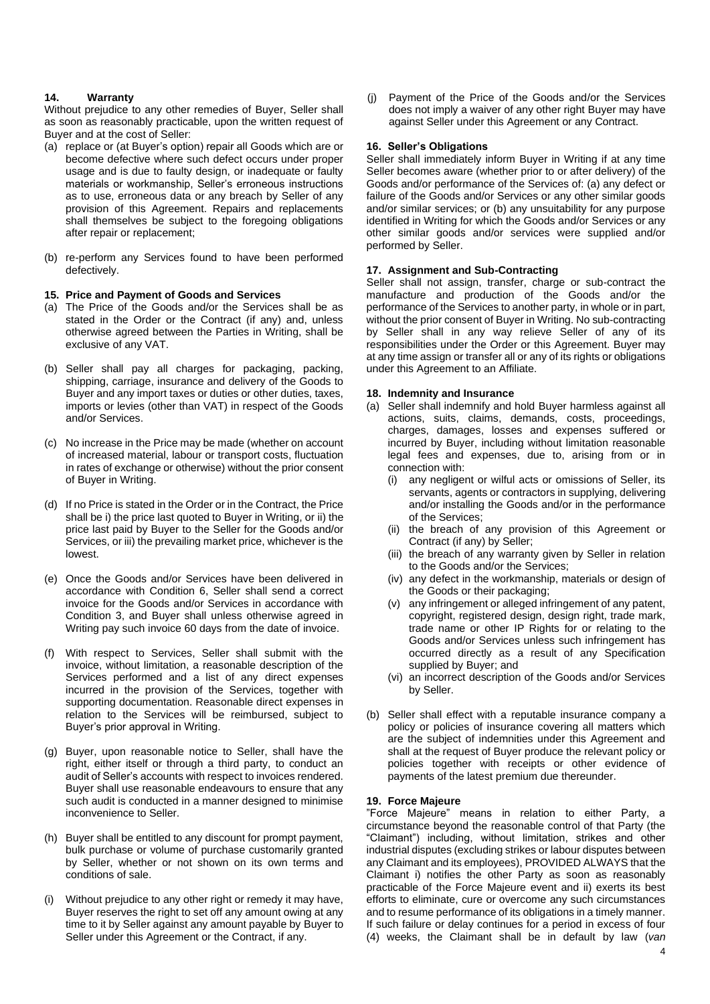### **14. Warranty**

Without prejudice to any other remedies of Buyer, Seller shall as soon as reasonably practicable, upon the written request of Buyer and at the cost of Seller:

- (a) replace or (at Buyer's option) repair all Goods which are or become defective where such defect occurs under proper usage and is due to faulty design, or inadequate or faulty materials or workmanship, Seller's erroneous instructions as to use, erroneous data or any breach by Seller of any provision of this Agreement. Repairs and replacements shall themselves be subject to the foregoing obligations after repair or replacement;
- (b) re-perform any Services found to have been performed defectively.

#### **15. Price and Payment of Goods and Services**

- (a) The Price of the Goods and/or the Services shall be as stated in the Order or the Contract (if any) and, unless otherwise agreed between the Parties in Writing, shall be exclusive of any VAT.
- (b) Seller shall pay all charges for packaging, packing, shipping, carriage, insurance and delivery of the Goods to Buyer and any import taxes or duties or other duties, taxes, imports or levies (other than VAT) in respect of the Goods and/or Services.
- (c) No increase in the Price may be made (whether on account of increased material, labour or transport costs, fluctuation in rates of exchange or otherwise) without the prior consent of Buyer in Writing.
- (d) If no Price is stated in the Order or in the Contract, the Price shall be i) the price last quoted to Buyer in Writing, or ii) the price last paid by Buyer to the Seller for the Goods and/or Services, or iii) the prevailing market price, whichever is the lowest.
- (e) Once the Goods and/or Services have been delivered in accordance with Condition 6, Seller shall send a correct invoice for the Goods and/or Services in accordance with Condition 3, and Buyer shall unless otherwise agreed in Writing pay such invoice 60 days from the date of invoice.
- (f) With respect to Services, Seller shall submit with the invoice, without limitation, a reasonable description of the Services performed and a list of any direct expenses incurred in the provision of the Services, together with supporting documentation. Reasonable direct expenses in relation to the Services will be reimbursed, subject to Buyer's prior approval in Writing.
- (g) Buyer, upon reasonable notice to Seller, shall have the right, either itself or through a third party, to conduct an audit of Seller's accounts with respect to invoices rendered. Buyer shall use reasonable endeavours to ensure that any such audit is conducted in a manner designed to minimise inconvenience to Seller.
- (h) Buyer shall be entitled to any discount for prompt payment, bulk purchase or volume of purchase customarily granted by Seller, whether or not shown on its own terms and conditions of sale.
- (i) Without prejudice to any other right or remedy it may have, Buyer reserves the right to set off any amount owing at any time to it by Seller against any amount payable by Buyer to Seller under this Agreement or the Contract, if any.

(j) Payment of the Price of the Goods and/or the Services does not imply a waiver of any other right Buyer may have against Seller under this Agreement or any Contract.

### **16. Seller's Obligations**

Seller shall immediately inform Buyer in Writing if at any time Seller becomes aware (whether prior to or after delivery) of the Goods and/or performance of the Services of: (a) any defect or failure of the Goods and/or Services or any other similar goods and/or similar services; or (b) any unsuitability for any purpose identified in Writing for which the Goods and/or Services or any other similar goods and/or services were supplied and/or performed by Seller.

### **17. Assignment and Sub-Contracting**

Seller shall not assign, transfer, charge or sub-contract the manufacture and production of the Goods and/or the performance of the Services to another party, in whole or in part, without the prior consent of Buyer in Writing. No sub-contracting by Seller shall in any way relieve Seller of any of its responsibilities under the Order or this Agreement. Buyer may at any time assign or transfer all or any of its rights or obligations under this Agreement to an Affiliate.

### **18. Indemnity and Insurance**

- (a) Seller shall indemnify and hold Buyer harmless against all actions, suits, claims, demands, costs, proceedings, charges, damages, losses and expenses suffered or incurred by Buyer, including without limitation reasonable legal fees and expenses, due to, arising from or in connection with:
	- (i) any negligent or wilful acts or omissions of Seller, its servants, agents or contractors in supplying, delivering and/or installing the Goods and/or in the performance of the Services;
	- (ii) the breach of any provision of this Agreement or Contract (if any) by Seller;
	- (iii) the breach of any warranty given by Seller in relation to the Goods and/or the Services;
	- (iv) any defect in the workmanship, materials or design of the Goods or their packaging;
	- (v) any infringement or alleged infringement of any patent, copyright, registered design, design right, trade mark, trade name or other IP Rights for or relating to the Goods and/or Services unless such infringement has occurred directly as a result of any Specification supplied by Buyer; and
	- (vi) an incorrect description of the Goods and/or Services by Seller.
- (b) Seller shall effect with a reputable insurance company a policy or policies of insurance covering all matters which are the subject of indemnities under this Agreement and shall at the request of Buyer produce the relevant policy or policies together with receipts or other evidence of payments of the latest premium due thereunder.

#### **19. Force Majeure**

"Force Majeure" means in relation to either Party, a circumstance beyond the reasonable control of that Party (the "Claimant") including, without limitation, strikes and other industrial disputes (excluding strikes or labour disputes between any Claimant and its employees), PROVIDED ALWAYS that the Claimant i) notifies the other Party as soon as reasonably practicable of the Force Majeure event and ii) exerts its best efforts to eliminate, cure or overcome any such circumstances and to resume performance of its obligations in a timely manner. If such failure or delay continues for a period in excess of four (4) weeks, the Claimant shall be in default by law (*van*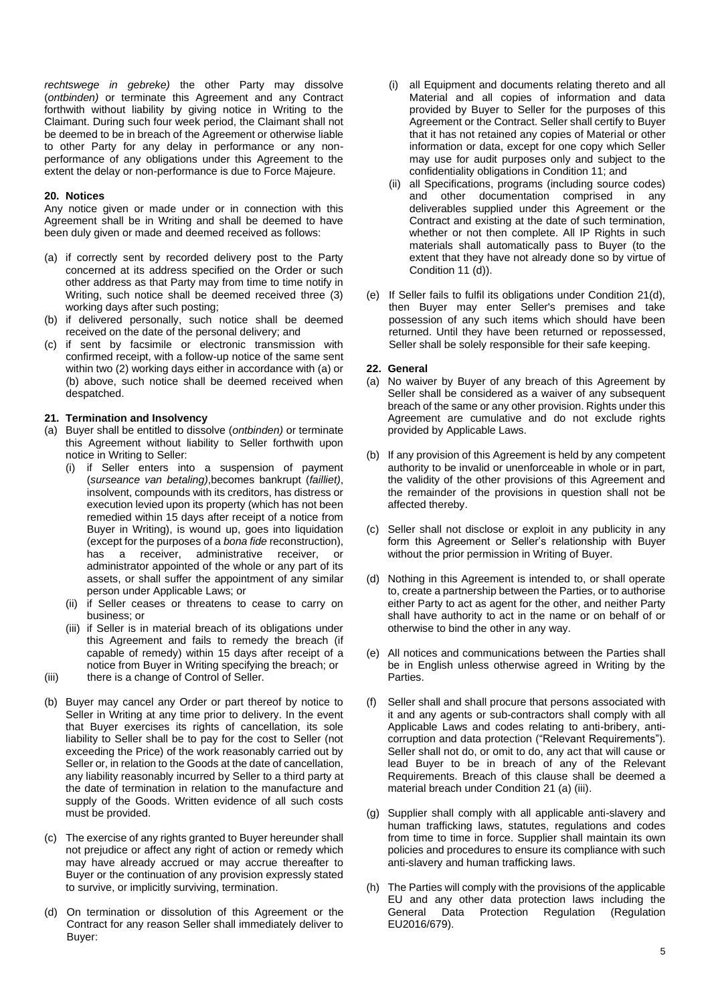*rechtswege in gebreke)* the other Party may dissolve (*ontbinden)* or terminate this Agreement and any Contract forthwith without liability by giving notice in Writing to the Claimant. During such four week period, the Claimant shall not be deemed to be in breach of the Agreement or otherwise liable to other Party for any delay in performance or any nonperformance of any obligations under this Agreement to the extent the delay or non-performance is due to Force Majeure.

#### **20. Notices**

Any notice given or made under or in connection with this Agreement shall be in Writing and shall be deemed to have been duly given or made and deemed received as follows:

- (a) if correctly sent by recorded delivery post to the Party concerned at its address specified on the Order or such other address as that Party may from time to time notify in Writing, such notice shall be deemed received three (3) working days after such posting;
- (b) if delivered personally, such notice shall be deemed received on the date of the personal delivery; and
- (c) if sent by facsimile or electronic transmission with confirmed receipt, with a follow-up notice of the same sent within two (2) working days either in accordance with (a) or (b) above, such notice shall be deemed received when despatched.

#### **21. Termination and Insolvency**

- (a) Buyer shall be entitled to dissolve (*ontbinden)* or terminate this Agreement without liability to Seller forthwith upon notice in Writing to Seller:
	- (i) if Seller enters into a suspension of payment (*surseance van betaling)*,becomes bankrupt (*failliet)*, insolvent, compounds with its creditors, has distress or execution levied upon its property (which has not been remedied within 15 days after receipt of a notice from Buyer in Writing), is wound up, goes into liquidation (except for the purposes of a *bona fide* reconstruction), has a receiver, administrative receiver, or administrator appointed of the whole or any part of its assets, or shall suffer the appointment of any similar person under Applicable Laws; or
	- (ii) if Seller ceases or threatens to cease to carry on business; or
	- (iii) if Seller is in material breach of its obligations under this Agreement and fails to remedy the breach (if capable of remedy) within 15 days after receipt of a notice from Buyer in Writing specifying the breach; or
- (iii) there is a change of Control of Seller.
- (b) Buyer may cancel any Order or part thereof by notice to Seller in Writing at any time prior to delivery. In the event that Buyer exercises its rights of cancellation, its sole liability to Seller shall be to pay for the cost to Seller (not exceeding the Price) of the work reasonably carried out by Seller or, in relation to the Goods at the date of cancellation, any liability reasonably incurred by Seller to a third party at the date of termination in relation to the manufacture and supply of the Goods. Written evidence of all such costs must be provided.
- (c) The exercise of any rights granted to Buyer hereunder shall not prejudice or affect any right of action or remedy which may have already accrued or may accrue thereafter to Buyer or the continuation of any provision expressly stated to survive, or implicitly surviving, termination.
- (d) On termination or dissolution of this Agreement or the Contract for any reason Seller shall immediately deliver to Buyer:
- (i) all Equipment and documents relating thereto and all Material and all copies of information and data provided by Buyer to Seller for the purposes of this Agreement or the Contract. Seller shall certify to Buyer that it has not retained any copies of Material or other information or data, except for one copy which Seller may use for audit purposes only and subject to the confidentiality obligations in Condition 11; and
- (ii) all Specifications, programs (including source codes) and other documentation comprised in any deliverables supplied under this Agreement or the Contract and existing at the date of such termination, whether or not then complete. All IP Rights in such materials shall automatically pass to Buyer (to the extent that they have not already done so by virtue of Condition 11 (d)).
- (e) If Seller fails to fulfil its obligations under Condition 21(d), then Buyer may enter Seller's premises and take possession of any such items which should have been returned. Until they have been returned or repossessed, Seller shall be solely responsible for their safe keeping.

#### **22. General**

- (a) No waiver by Buyer of any breach of this Agreement by Seller shall be considered as a waiver of any subsequent breach of the same or any other provision. Rights under this Agreement are cumulative and do not exclude rights provided by Applicable Laws.
- (b) If any provision of this Agreement is held by any competent authority to be invalid or unenforceable in whole or in part, the validity of the other provisions of this Agreement and the remainder of the provisions in question shall not be affected thereby.
- (c) Seller shall not disclose or exploit in any publicity in any form this Agreement or Seller's relationship with Buyer without the prior permission in Writing of Buyer.
- (d) Nothing in this Agreement is intended to, or shall operate to, create a partnership between the Parties, or to authorise either Party to act as agent for the other, and neither Party shall have authority to act in the name or on behalf of or otherwise to bind the other in any way.
- (e) All notices and communications between the Parties shall be in English unless otherwise agreed in Writing by the Parties.
- (f) Seller shall and shall procure that persons associated with it and any agents or sub-contractors shall comply with all Applicable Laws and codes relating to anti-bribery, anticorruption and data protection ("Relevant Requirements"). Seller shall not do, or omit to do, any act that will cause or lead Buyer to be in breach of any of the Relevant Requirements. Breach of this clause shall be deemed a material breach under Condition 21 (a) (iii).
- (g) Supplier shall comply with all applicable anti-slavery and human trafficking laws, statutes, regulations and codes from time to time in force. Supplier shall maintain its own policies and procedures to ensure its compliance with such anti-slavery and human trafficking laws.
- (h) The Parties will comply with the provisions of the applicable EU and any other data protection laws including the General Data Protection Regulation (Regulation EU2016/679).